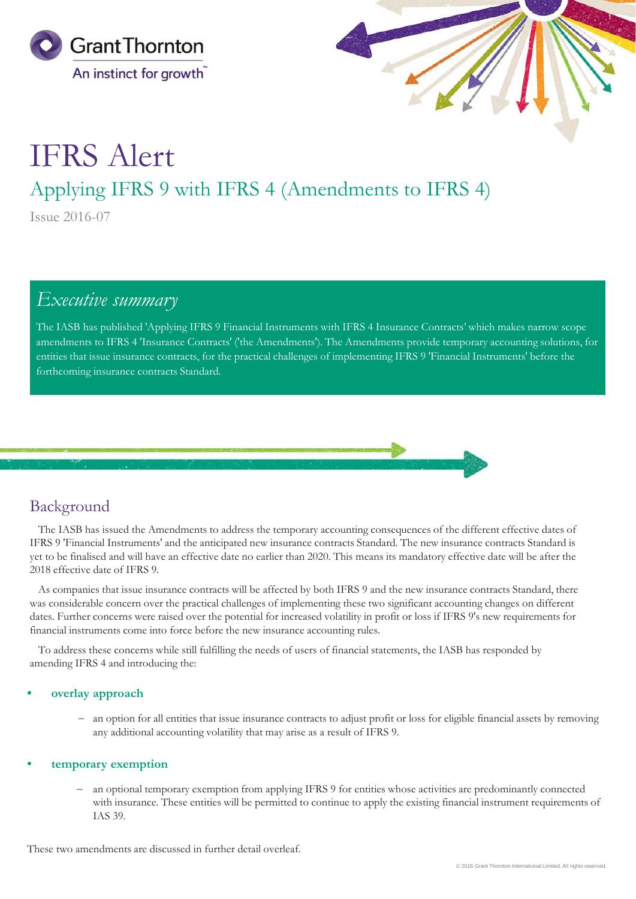



# IFRS Alert

# Applying IFRS 9 with IFRS 4 (Amendments to IFRS 4)

Issue 2016-07

# *Executive summary*

The IASB has published 'Applying IFRS 9 Financial Instruments with IFRS 4 Insurance Contracts' which makes narrow scope amendments to IFRS 4 'Insurance Contracts' ('the Amendments'). The Amendments provide temporary accounting solutions, for entities that issue insurance contracts, for the practical challenges of implementing IFRS 9 'Financial Instruments' before the forthcoming insurance contracts Standard.



## Background

The IASB has issued the Amendments to address the temporary accounting consequences of the different effective dates of IFRS 9 'Financial Instruments' and the anticipated new insurance contracts Standard. The new insurance contracts Standard is yet to be finalised and will have an effective date no earlier than 2020. This means its mandatory effective date will be after the 2018 effective date of IFRS 9.

As companies that issue insurance contracts will be affected by both IFRS 9 and the new insurance contracts Standard, there was considerable concern over the practical challenges of implementing these two significant accounting changes on different dates. Further concerns were raised over the potential for increased volatility in profit or loss if IFRS 9's new requirements for financial instruments come into force before the new insurance accounting rules.

To address these concerns while still fulfilling the needs of users of financial statements, the IASB has responded by amending IFRS 4 and introducing the:

#### • **overlay approach**

− an option for all entities that issue insurance contracts to adjust profit or loss for eligible financial assets by removing any additional accounting volatility that may arise as a result of IFRS 9.

#### • **temporary exemption**

an optional temporary exemption from applying IFRS 9 for entities whose activities are predominantly connected with insurance. These entities will be permitted to continue to apply the existing financial instrument requirements of IAS 39.

These two amendments are discussed in further detail overleaf.